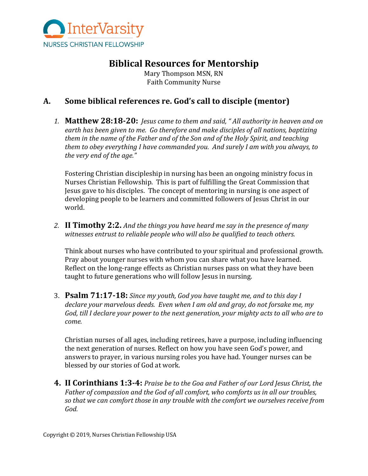

# **Biblical Resources for Mentorship**

Mary Thompson MSN, RN Faith Community Nurse

### A. Some biblical references re. God's call to disciple (mentor)

1. **Matthew 28:18-20:** Jesus came to them and said, "All authority in heaven and on earth has been given to me. Go therefore and make disciples of all nations, baptizing them in the name of the Father and of the Son and of the Holy Spirit, and teaching *them to obey everything I have commanded you. And surely I am with you always, to the very end of the age."* 

Fostering Christian discipleship in nursing has been an ongoing ministry focus in Nurses Christian Fellowship. This is part of fulfilling the Great Commission that Jesus gave to his disciples. The concept of mentoring in nursing is one aspect of developing people to be learners and committed followers of Jesus Christ in our world.

2. **II Timothy 2:2.** And the things you have heard me say in the presence of many witnesses entrust to reliable people who will also be qualified to teach others.

Think about nurses who have contributed to your spiritual and professional growth. Pray about younger nurses with whom you can share what you have learned. Reflect on the long-range effects as Christian nurses pass on what they have been taught to future generations who will follow Jesus in nursing.

3. **Psalm 71:17-18:** *Since my youth, God you have taught me, and to this day I* declare your marvelous deeds. Even when I am old and gray, do not forsake me, my God, till I declare your power to the next generation, your mighty acts to all who are to *come.* 

Christian nurses of all ages, including retirees, have a purpose, including influencing the next generation of nurses. Reflect on how you have seen God's power, and answers to prayer, in various nursing roles you have had. Younger nurses can be blessed by our stories of God at work.

**4. II Corinthians 1:3-4:** Praise be to the Goa and Father of our Lord Jesus Christ, the Father of compassion and the God of all comfort, who comforts us in all our troubles, so that we can comfort those in any trouble with the comfort we ourselves receive from  $God.$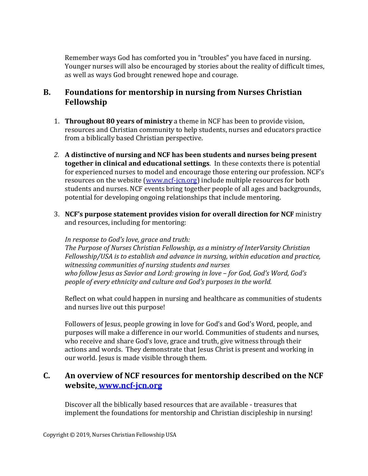Remember ways God has comforted you in "troubles" you have faced in nursing. Younger nurses will also be encouraged by stories about the reality of difficult times, as well as ways God brought renewed hope and courage.

#### **B.** Foundations for mentorship in nursing from Nurses Christian **Fellowship**

- 1. **Throughout 80 years of ministry** a theme in NCF has been to provide vision, resources and Christian community to help students, nurses and educators practice from a biblically based Christian perspective.
- 2. A distinctive of nursing and NCF has been students and nurses being present **together in clinical and educational settings**. In these contexts there is potential for experienced nurses to model and encourage those entering our profession. NCF's resources on the website (www.ncf-jcn.org) include multiple resources for both students and nurses. NCF events bring together people of all ages and backgrounds, potential for developing ongoing relationships that include mentoring.
- 3. NCF's purpose statement provides vision for overall direction for NCF ministry and resources, including for mentoring:

In response to God's love, grace and truth: The Purpose of Nurses Christian Fellowship, as a ministry of InterVarsity Christian *Fellowship/USA is to establish and advance in nursing, within education and practice,* witnessing communities of nursing students and nurses who follow Jesus as Savior and Lord: growing in love - for God, God's Word, God's *people of every ethnicity and culture and God's purposes in the world.* 

Reflect on what could happen in nursing and healthcare as communities of students and nurses live out this purpose!

Followers of Jesus, people growing in love for God's and God's Word, people, and purposes will make a difference in our world. Communities of students and nurses, who receive and share God's love, grace and truth, give witness through their actions and words. They demonstrate that Jesus Christ is present and working in our world. Jesus is made visible through them.

## **C.** An overview of NCF resources for mentorship described on the NCF **website, www.ncf-jcn.org**

Discover all the biblically based resources that are available - treasures that implement the foundations for mentorship and Christian discipleship in nursing!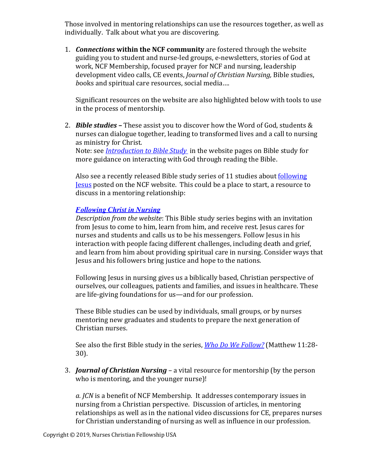Those involved in mentoring relationships can use the resources together, as well as individually. Talk about what you are discovering.

1. *Connections* within the NCF community are fostered through the website guiding you to student and nurse-led groups, e-newsletters, stories of God at work, NCF Membership, focused prayer for NCF and nursing, leadership development video calls, CE events, *Journal of Christian Nursing*, Bible studies, *books* and spiritual care resources, social media....

Significant resources on the website are also highlighted below with tools to use in the process of mentorship.

2. **Bible studies** – These assist you to discover how the Word of God, students & nurses can dialogue together, leading to transformed lives and a call to nursing as ministry for Christ. Note: see *Introduction to Bible Study* in the website pages on Bible study for more guidance on interacting with God through reading the Bible.

Also see a recently released Bible study series of 11 studies about following **Jesus** posted on the NCF website. This could be a place to start, a resource to discuss in a mentoring relationship:

#### *Following Christ in Nursing*

*Description from the website*: This Bible study series begins with an invitation from Jesus to come to him, learn from him, and receive rest. Jesus cares for nurses and students and calls us to be his messengers. Follow Jesus in his interaction with people facing different challenges, including death and grief, and learn from him about providing spiritual care in nursing. Consider ways that Jesus and his followers bring justice and hope to the nations.

Following Jesus in nursing gives us a biblically based, Christian perspective of ourselves, our colleagues, patients and families, and issues in healthcare. These are life-giving foundations for us—and for our profession.

These Bible studies can be used by individuals, small groups, or by nurses mentoring new graduates and students to prepare the next generation of Christian nurses.

See also the first Bible study in the series, *Who Do We Follow?* (Matthew 11:28-30).

3. *Journal of Christian Nursing* – a vital resource for mentorship (by the person who is mentoring, and the younger nurse)!

a. *JCN* is a benefit of NCF Membership. It addresses contemporary issues in nursing from a Christian perspective. Discussion of articles, in mentoring relationships as well as in the national video discussions for CE, prepares nurses for Christian understanding of nursing as well as influence in our profession.